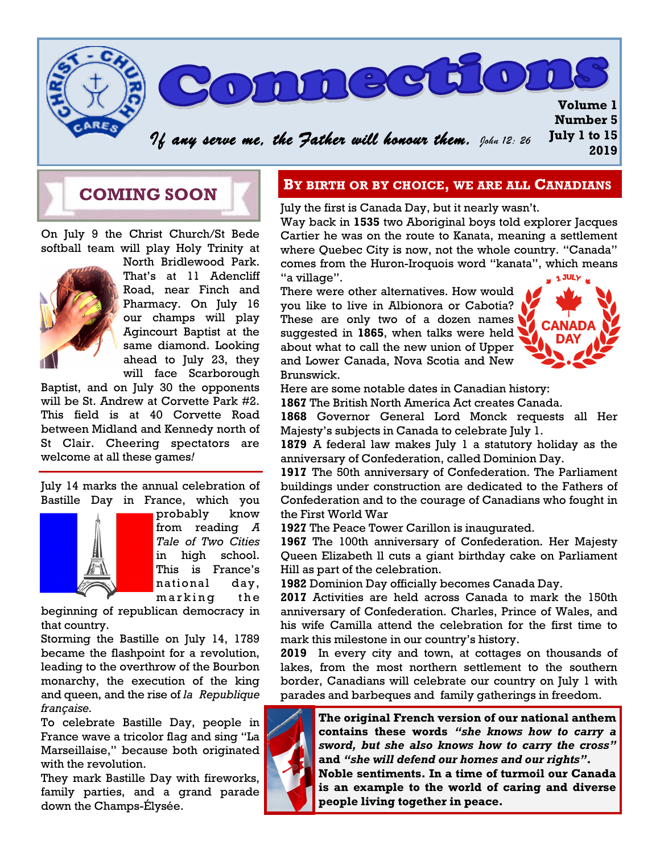

## **COMING SOON**

On July 9 the Christ Church/St Bede softball team will play Holy Trinity at



North Bridlewood Park. That's at 11 Adencliff Road, near Finch and Pharmacy. On July 16 our champs will play Agincourt Baptist at the same diamond. Looking ahead to July 23, they will face Scarborough

Baptist, and on July 30 the opponents will be St. Andrew at Corvette Park #2. This field is at 40 Corvette Road between Midland and Kennedy north of St Clair. Cheering spectators are welcome at all these games*!* 

July 14 marks the annual celebration of Bastille Day in France, which you



probably know from reading *A Tale of Two Cities* in high school. This is France's national day, marking the

beginning of republican democracy in that country.

Storming the Bastille on July 14, 1789 became the flashpoint for a revolution, leading to the overthrow of the Bourbon monarchy, the execution of the king and queen, and the rise of *la Republique française.*

To celebrate Bastille Day, people in France wave a tricolor flag and sing "La Marseillaise," because both originated with the revolution.

They mark Bastille Day with fireworks, family parties, and a grand parade down the Champs-Élysée.

### **BY BIRTH OR BY CHOICE, WE ARE ALL CANADIANS**

July the first is Canada Day, but it nearly wasn't.

Way back in **1535** two Aboriginal boys told explorer Jacques Cartier he was on the route to Kanata, meaning a settlement where Quebec City is now, not the whole country. "Canada" comes from the Huron-Iroquois word "kanata", which means "a village".  $\frac{1}{24}$  1 JULY  $\frac{1}{24}$ 

There were other alternatives. How would you like to live in Albionora or Cabotia? These are only two of a dozen names suggested in **1865**, when talks were held about what to call the new union of Upper and Lower Canada, Nova Scotia and New Brunswick.



Here are some notable dates in Canadian history:

**1867** The British North America Act creates Canada.

**1868** Governor General Lord Monck requests all Her Majesty's subjects in Canada to celebrate July 1.

**1879** A federal law makes July 1 a statutory holiday as the anniversary of Confederation, called Dominion Day.

**1917** The 50th anniversary of Confederation. The Parliament buildings under construction are dedicated to the Fathers of Confederation and to the courage of Canadians who fought in the First World War

**1927** The Peace Tower Carillon is inaugurated.

**1967** The 100th anniversary of Confederation. Her Majesty Queen Elizabeth ll cuts a giant birthday cake on Parliament Hill as part of the celebration.

**1982** Dominion Day officially becomes Canada Day.

**2017** Activities are held across Canada to mark the 150th anniversary of Confederation. Charles, Prince of Wales, and his wife Camilla attend the celebration for the first time to mark this milestone in our country's history.

**2019** In every city and town, at cottages on thousands of lakes, from the most northern settlement to the southern border, Canadians will celebrate our country on July 1 with parades and barbeques and family gatherings in freedom.



**The original French version of our national anthem contains these words** *"she knows how to carry a sword, but she also knows how to carry the cross"*  **and** *"she will defend our homes and our rights"***.** 

**Noble sentiments. In a time of turmoil our Canada is an example to the world of caring and diverse people living together in peace.**